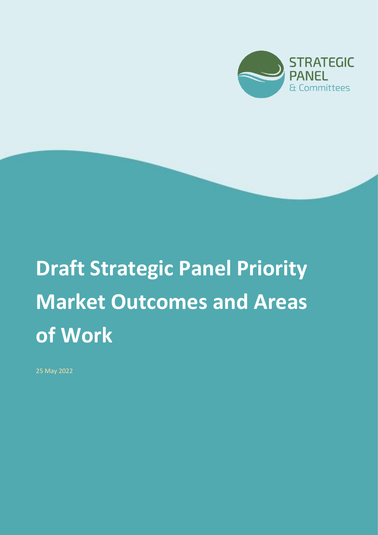

# **Draft Strategic Panel Priority Market Outcomes and Areas of Work**

25 May 2022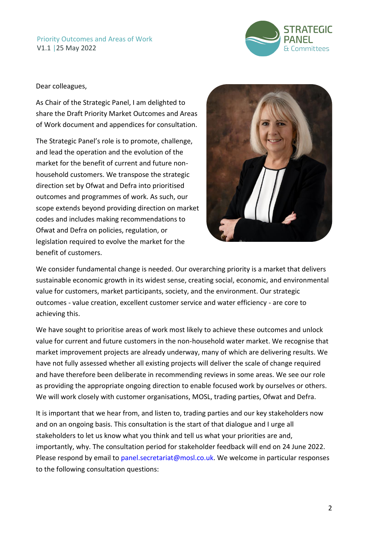

Dear colleagues,

As Chair of the Strategic Panel, I am delighted to share the Draft Priority Market Outcomes and Areas of Work document and appendices for consultation.

The Strategic Panel's role is to promote, challenge, and lead the operation and the evolution of the market for the benefit of current and future nonhousehold customers. We transpose the strategic direction set by Ofwat and Defra into prioritised outcomes and programmes of work. As such, our scope extends beyond providing direction on market codes and includes making recommendations to Ofwat and Defra on policies, regulation, or legislation required to evolve the market for the benefit of customers.



We consider fundamental change is needed. Our overarching priority is a market that delivers sustainable economic growth in its widest sense, creating social, economic, and environmental value for customers, market participants, society, and the environment. Our strategic outcomes - value creation, excellent customer service and water efficiency - are core to achieving this.

We have sought to prioritise areas of work most likely to achieve these outcomes and unlock value for current and future customers in the non-household water market. We recognise that market improvement projects are already underway, many of which are delivering results. We have not fully assessed whether all existing projects will deliver the scale of change required and have therefore been deliberate in recommending reviews in some areas. We see our role as providing the appropriate ongoing direction to enable focused work by ourselves or others. We will work closely with customer organisations, MOSL, trading parties, Ofwat and Defra.

It is important that we hear from, and listen to, trading parties and our key stakeholders now and on an ongoing basis. This consultation is the start of that dialogue and I urge all stakeholders to let us know what you think and tell us what your priorities are and, importantly, why. The consultation period for stakeholder feedback will end on 24 June 2022. Please respond by email to panel.secretariat@mosl.co.uk. We welcome in particular responses to the following consultation questions: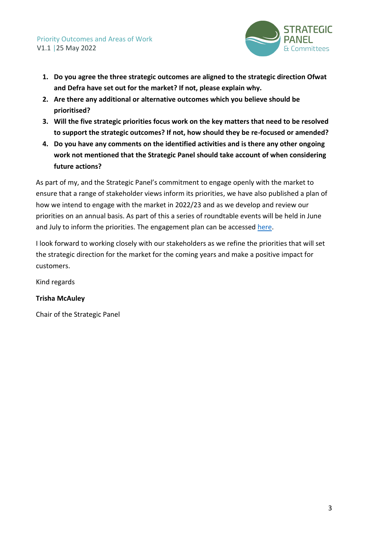

- **1. Do you agree the three strategic outcomes are aligned to the strategic direction Ofwat and Defra have set out for the market? If not, please explain why.**
- **2. Are there any additional or alternative outcomes which you believe should be prioritised?**
- **3. Will the five strategic priorities focus work on the key matters that need to be resolved to support the strategic outcomes? If not, how should they be re-focused or amended?**
- **4. Do you have any comments on the identified activities and is there any other ongoing work not mentioned that the Strategic Panel should take account of when considering future actions?**

As part of my, and the Strategic Panel's commitment to engage openly with the market to ensure that a range of stakeholder views inform its priorities, we have also published a plan of how we intend to engage with the market in 2022/23 and as we develop and review our priorities on an annual basis. As part of this a series of roundtable events will be held in June and July to inform the priorities. The engagement plan can be accessed [here.](https://mosl.co.uk/document/documents/5472-strategic-panel-engagement-plan)

I look forward to working closely with our stakeholders as we refine the priorities that will set the strategic direction for the market for the coming years and make a positive impact for customers.

Kind regards

#### **Trisha McAuley**

Chair of the Strategic Panel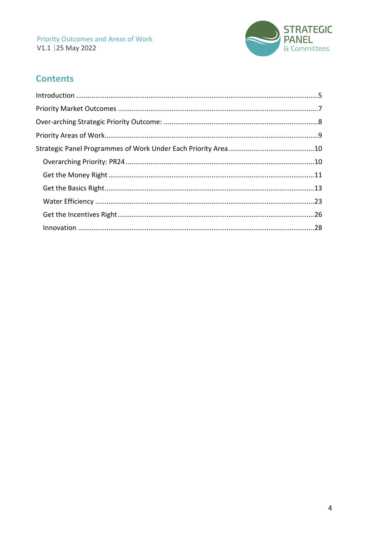

# **Contents**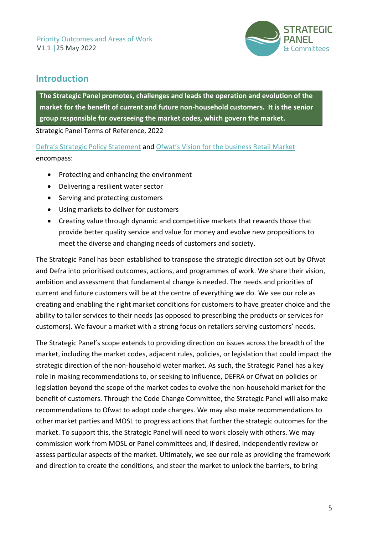

# <span id="page-4-0"></span>**Introduction**

**The Strategic Panel promotes, challenges and leads the operation and evolution of the market for the benefit of current and future non-household customers. It is the senior group responsible for overseeing the market codes, which govern the market.**

Strategic Panel Terms of Reference, 2022

[Defra's Strategic Policy Statement](https://www.gov.uk/government/publications/strategic-policy-statement-to-ofwat-incorporating-social-and-environmental-guidance) and [Ofwat's Vision for the business Retail Market](https://www.ofwat.gov.uk/publication/speech-from-david-black-interim-chief-executive-a-business-retail-market-that-creates-value-for-customers-society-and-the-environment-progress-and-prospects/) encompass:

- Protecting and enhancing the environment
- Delivering a resilient water sector
- Serving and protecting customers
- Using markets to deliver for customers
- Creating value through dynamic and competitive markets that rewards those that provide better quality service and value for money and evolve new propositions to meet the diverse and changing needs of customers and society.

The Strategic Panel has been established to transpose the strategic direction set out by Ofwat and Defra into prioritised outcomes, actions, and programmes of work. We share their vision, ambition and assessment that fundamental change is needed. The needs and priorities of current and future customers will be at the centre of everything we do. We see our role as creating and enabling the right market conditions for customers to have greater choice and the ability to tailor services to their needs (as opposed to prescribing the products or services for customers). We favour a market with a strong focus on retailers serving customers' needs.

The Strategic Panel's scope extends to providing direction on issues across the breadth of the market, including the market codes, adjacent rules, policies, or legislation that could impact the strategic direction of the non-household water market. As such, the Strategic Panel has a key role in making recommendations to, or seeking to influence, DEFRA or Ofwat on policies or legislation beyond the scope of the market codes to evolve the non-household market for the benefit of customers. Through the Code Change Committee, the Strategic Panel will also make recommendations to Ofwat to adopt code changes. We may also make recommendations to other market parties and MOSL to progress actions that further the strategic outcomes for the market. To support this, the Strategic Panel will need to work closely with others. We may commission work from MOSL or Panel committees and, if desired, independently review or assess particular aspects of the market. Ultimately, we see our role as providing the framework and direction to create the conditions, and steer the market to unlock the barriers, to bring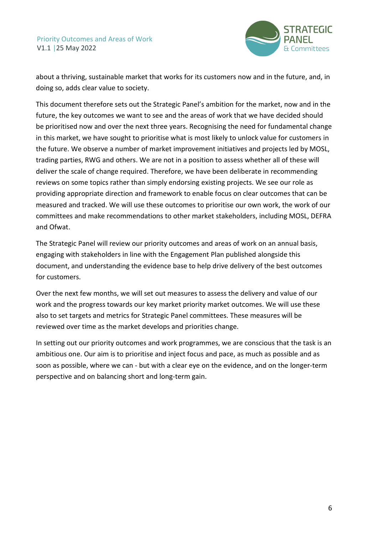

about a thriving, sustainable market that works for its customers now and in the future, and, in doing so, adds clear value to society.

This document therefore sets out the Strategic Panel's ambition for the market, now and in the future, the key outcomes we want to see and the areas of work that we have decided should be prioritised now and over the next three years. Recognising the need for fundamental change in this market, we have sought to prioritise what is most likely to unlock value for customers in the future. We observe a number of market improvement initiatives and projects led by MOSL, trading parties, RWG and others. We are not in a position to assess whether all of these will deliver the scale of change required. Therefore, we have been deliberate in recommending reviews on some topics rather than simply endorsing existing projects. We see our role as providing appropriate direction and framework to enable focus on clear outcomes that can be measured and tracked. We will use these outcomes to prioritise our own work, the work of our committees and make recommendations to other market stakeholders, including MOSL, DEFRA and Ofwat.

The Strategic Panel will review our priority outcomes and areas of work on an annual basis, engaging with stakeholders in line with the Engagement Plan published alongside this document, and understanding the evidence base to help drive delivery of the best outcomes for customers.

Over the next few months, we will set out measures to assess the delivery and value of our work and the progress towards our key market priority market outcomes. We will use these also to set targets and metrics for Strategic Panel committees. These measures will be reviewed over time as the market develops and priorities change.

In setting out our priority outcomes and work programmes, we are conscious that the task is an ambitious one. Our aim is to prioritise and inject focus and pace, as much as possible and as soon as possible, where we can - but with a clear eye on the evidence, and on the longer-term perspective and on balancing short and long-term gain.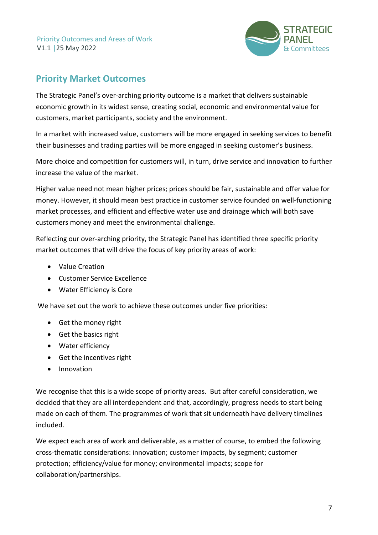

# <span id="page-6-0"></span>**Priority Market Outcomes**

The Strategic Panel's over-arching priority outcome is a market that delivers sustainable economic growth in its widest sense, creating social, economic and environmental value for customers, market participants, society and the environment.

In a market with increased value, customers will be more engaged in seeking services to benefit their businesses and trading parties will be more engaged in seeking customer's business.

More choice and competition for customers will, in turn, drive service and innovation to further increase the value of the market.

Higher value need not mean higher prices; prices should be fair, sustainable and offer value for money. However, it should mean best practice in customer service founded on well-functioning market processes, and efficient and effective water use and drainage which will both save customers money and meet the environmental challenge.

Reflecting our over-arching priority, the Strategic Panel has identified three specific priority market outcomes that will drive the focus of key priority areas of work:

- Value Creation
- Customer Service Excellence
- Water Efficiency is Core

We have set out the work to achieve these outcomes under five priorities:

- Get the money right
- Get the basics right
- Water efficiency
- Get the incentives right
- Innovation

We recognise that this is a wide scope of priority areas. But after careful consideration, we decided that they are all interdependent and that, accordingly, progress needs to start being made on each of them. The programmes of work that sit underneath have delivery timelines included.

We expect each area of work and deliverable, as a matter of course, to embed the following cross-thematic considerations: innovation; customer impacts, by segment; customer protection; efficiency/value for money; environmental impacts; scope for collaboration/partnerships.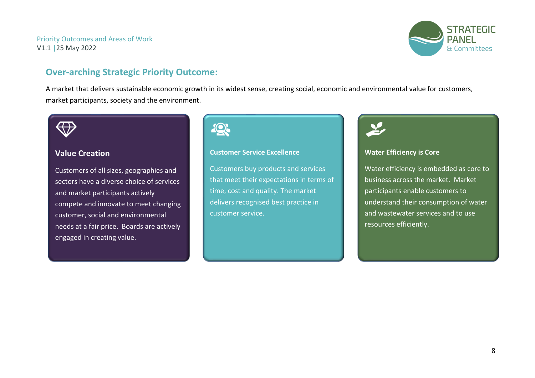

# **Over-arching Strategic Priority Outcome:**

A market that delivers sustainable economic growth in its widest sense, creating social, economic and environmental value for customers, market participants, society and the environment.

#### **Value Creation**

<span id="page-7-0"></span>Customers of all sizes, geographies and sectors have a diverse choice of services and market participants actively compete and innovate to meet changing customer, social and environmental needs at a fair price. Boards are actively engaged in creating value.

# 10

#### **Customer Service Excellence**

Customers buy products and services that meet their expectations in terms of time, cost and quality. The market delivers recognised best practice in customer service.



#### **Water Efficiency is Core**

Water efficiency is embedded as core to business across the market. Market participants enable customers to understand their consumption of water and wastewater services and to use resources efficiently.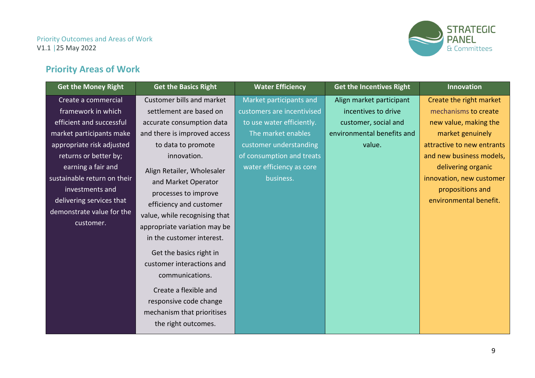

# **Priority Areas of Work**

<span id="page-8-0"></span>

| <b>Get the Money Right</b>  | <b>Get the Basics Right</b>                                                                      | <b>Water Efficiency</b>    | <b>Get the Incentives Right</b> | <b>Innovation</b>          |
|-----------------------------|--------------------------------------------------------------------------------------------------|----------------------------|---------------------------------|----------------------------|
| Create a commercial         | Customer bills and market                                                                        | Market participants and    | Align market participant        | Create the right market    |
| framework in which          | settlement are based on                                                                          | customers are incentivised | incentives to drive             | mechanisms to create       |
| efficient and successful    | accurate consumption data                                                                        | to use water efficiently.  | customer, social and            | new value, making the      |
| market participants make    | and there is improved access                                                                     | The market enables         | environmental benefits and      | market genuinely           |
| appropriate risk adjusted   | to data to promote                                                                               | customer understanding     | value.                          | attractive to new entrants |
| returns or better by;       | innovation.                                                                                      | of consumption and treats  |                                 | and new business models,   |
| earning a fair and          | Align Retailer, Wholesaler                                                                       | water efficiency as core   |                                 | delivering organic         |
| sustainable return on their | and Market Operator                                                                              | business.                  |                                 | innovation, new customer   |
| investments and             | processes to improve                                                                             |                            |                                 | propositions and           |
| delivering services that    | efficiency and customer                                                                          |                            |                                 | environmental benefit.     |
| demonstrate value for the   | value, while recognising that                                                                    |                            |                                 |                            |
| customer.                   | appropriate variation may be                                                                     |                            |                                 |                            |
|                             | in the customer interest.                                                                        |                            |                                 |                            |
|                             | Get the basics right in<br>customer interactions and<br>communications.<br>Create a flexible and |                            |                                 |                            |
|                             | responsive code change<br>mechanism that prioritises                                             |                            |                                 |                            |
|                             | the right outcomes.                                                                              |                            |                                 |                            |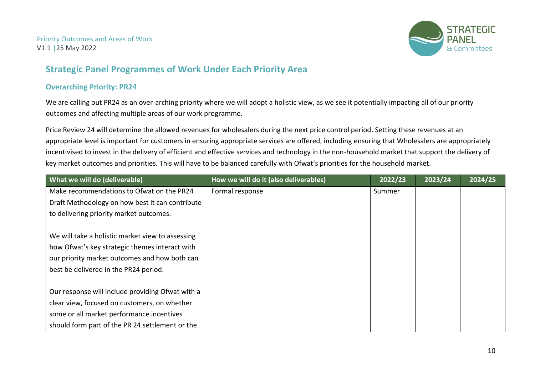

# **Strategic Panel Programmes of Work Under Each Priority Area**

#### **Overarching Priority: PR24**

We are calling out PR24 as an over-arching priority where we will adopt a holistic view, as we see it potentially impacting all of our priority outcomes and affecting multiple areas of our work programme.

Price Review 24 will determine the allowed revenues for wholesalers during the next price control period. Setting these revenues at an appropriate level is important for customers in ensuring appropriate services are offered, including ensuring that Wholesalers are appropriately incentivised to invest in the delivery of efficient and effective services and technology in the non-household market that support the delivery of key market outcomes and priorities. This will have to be balanced carefully with Ofwat's priorities for the household market.

<span id="page-9-1"></span><span id="page-9-0"></span>

| What we will do (deliverable)                    | How we will do it (also deliverables) | 2022/23 | 2023/24 | 2024/25 |
|--------------------------------------------------|---------------------------------------|---------|---------|---------|
| Make recommendations to Ofwat on the PR24        | Formal response                       | Summer  |         |         |
| Draft Methodology on how best it can contribute  |                                       |         |         |         |
| to delivering priority market outcomes.          |                                       |         |         |         |
|                                                  |                                       |         |         |         |
| We will take a holistic market view to assessing |                                       |         |         |         |
| how Ofwat's key strategic themes interact with   |                                       |         |         |         |
| our priority market outcomes and how both can    |                                       |         |         |         |
| best be delivered in the PR24 period.            |                                       |         |         |         |
|                                                  |                                       |         |         |         |
| Our response will include providing Ofwat with a |                                       |         |         |         |
| clear view, focused on customers, on whether     |                                       |         |         |         |
| some or all market performance incentives        |                                       |         |         |         |
| should form part of the PR 24 settlement or the  |                                       |         |         |         |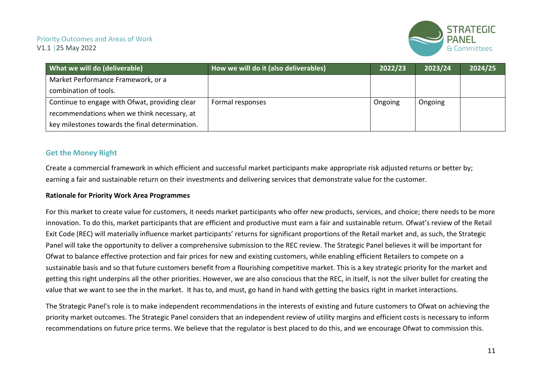

| What we will do (deliverable)                   | How we will do it (also deliverables) | 2022/23 | 2023/24 | 2024/25 |
|-------------------------------------------------|---------------------------------------|---------|---------|---------|
| Market Performance Framework, or a              |                                       |         |         |         |
| combination of tools.                           |                                       |         |         |         |
| Continue to engage with Ofwat, providing clear  | Formal responses                      | Ongoing | Ongoing |         |
| recommendations when we think necessary, at     |                                       |         |         |         |
| key milestones towards the final determination. |                                       |         |         |         |

#### **Get the Money Right**

Create a commercial framework in which efficient and successful market participants make appropriate risk adjusted returns or better by; earning a fair and sustainable return on their investments and delivering services that demonstrate value for the customer.

#### **Rationale for Priority Work Area Programmes**

For this market to create value for customers, it needs market participants who offer new products, services, and choice; there needs to be more innovation. To do this, market participants that are efficient and productive must earn a fair and sustainable return. Ofwat's review of the Retail Exit Code (REC) will materially influence market participants' returns for significant proportions of the Retail market and, as such, the Strategic Panel will take the opportunity to deliver a comprehensive submission to the REC review. The Strategic Panel believes it will be important for Ofwat to balance effective protection and fair prices for new and existing customers, while enabling efficient Retailers to compete on a sustainable basis and so that future customers benefit from a flourishing competitive market. This is a key strategic priority for the market and getting this right underpins all the other priorities. However, we are also conscious that the REC, in itself, is not the silver bullet for creating the value that we want to see the in the market. It has to, and must, go hand in hand with getting the basics right in market interactions.

<span id="page-10-0"></span>The Strategic Panel's role is to make independent recommendations in the interests of existing and future customers to Ofwat on achieving the priority market outcomes. The Strategic Panel considers that an independent review of utility margins and efficient costs is necessary to inform recommendations on future price terms. We believe that the regulator is best placed to do this, and we encourage Ofwat to commission this.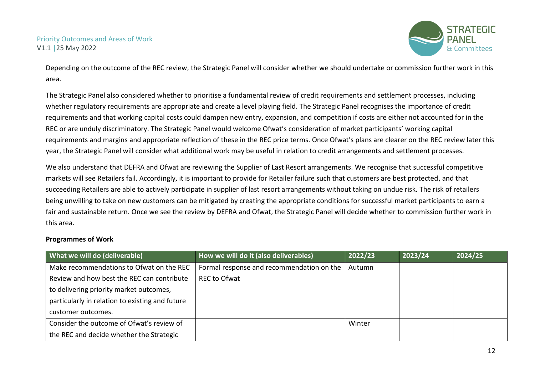

Depending on the outcome of the REC review, the Strategic Panel will consider whether we should undertake or commission further work in this area.

The Strategic Panel also considered whether to prioritise a fundamental review of credit requirements and settlement processes, including whether regulatory requirements are appropriate and create a level playing field. The Strategic Panel recognises the importance of credit requirements and that working capital costs could dampen new entry, expansion, and competition if costs are either not accounted for in the REC or are unduly discriminatory. The Strategic Panel would welcome Ofwat's consideration of market participants' working capital requirements and margins and appropriate reflection of these in the REC price terms. Once Ofwat's plans are clearer on the REC review later this year, the Strategic Panel will consider what additional work may be useful in relation to credit arrangements and settlement processes.

We also understand that DEFRA and Ofwat are reviewing the Supplier of Last Resort arrangements. We recognise that successful competitive markets will see Retailers fail. Accordingly, it is important to provide for Retailer failure such that customers are best protected, and that succeeding Retailers are able to actively participate in supplier of last resort arrangements without taking on undue risk. The risk of retailers being unwilling to take on new customers can be mitigated by creating the appropriate conditions for successful market participants to earn a fair and sustainable return. Once we see the review by DEFRA and Ofwat, the Strategic Panel will decide whether to commission further work in this area.

#### **Programmes of Work**

| What we will do (deliverable)                   | How we will do it (also deliverables)     | 2022/23 | 2023/24 | 2024/25 |
|-------------------------------------------------|-------------------------------------------|---------|---------|---------|
| Make recommendations to Ofwat on the REC        | Formal response and recommendation on the | Autumn  |         |         |
| Review and how best the REC can contribute      | <b>REC to Ofwat</b>                       |         |         |         |
| to delivering priority market outcomes,         |                                           |         |         |         |
| particularly in relation to existing and future |                                           |         |         |         |
| customer outcomes.                              |                                           |         |         |         |
| Consider the outcome of Ofwat's review of       |                                           | Winter  |         |         |
| the REC and decide whether the Strategic        |                                           |         |         |         |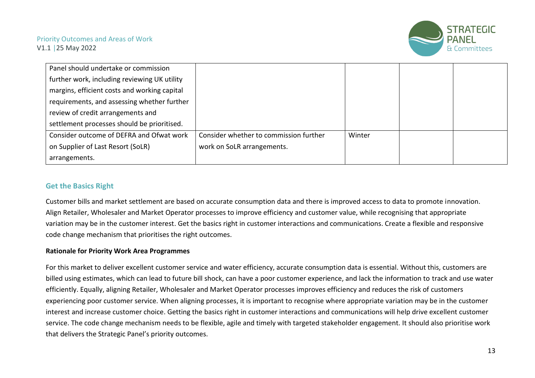

| Panel should undertake or commission         |                                        |        |  |
|----------------------------------------------|----------------------------------------|--------|--|
| further work, including reviewing UK utility |                                        |        |  |
| margins, efficient costs and working capital |                                        |        |  |
| requirements, and assessing whether further  |                                        |        |  |
| review of credit arrangements and            |                                        |        |  |
| settlement processes should be prioritised.  |                                        |        |  |
| Consider outcome of DEFRA and Ofwat work     | Consider whether to commission further | Winter |  |
| on Supplier of Last Resort (SoLR)            | work on SoLR arrangements.             |        |  |
| arrangements.                                |                                        |        |  |

#### **Get the Basics Right**

Customer bills and market settlement are based on accurate consumption data and there is improved access to data to promote innovation. Align Retailer, Wholesaler and Market Operator processes to improve efficiency and customer value, while recognising that appropriate variation may be in the customer interest. Get the basics right in customer interactions and communications. Create a flexible and responsive code change mechanism that prioritises the right outcomes.

#### **Rationale for Priority Work Area Programmes**

<span id="page-12-0"></span>For this market to deliver excellent customer service and water efficiency, accurate consumption data is essential. Without this, customers are billed using estimates, which can lead to future bill shock, can have a poor customer experience, and lack the information to track and use water efficiently. Equally, aligning Retailer, Wholesaler and Market Operator processes improves efficiency and reduces the risk of customers experiencing poor customer service. When aligning processes, it is important to recognise where appropriate variation may be in the customer interest and increase customer choice. Getting the basics right in customer interactions and communications will help drive excellent customer service. The code change mechanism needs to be flexible, agile and timely with targeted stakeholder engagement. It should also prioritise work that delivers the Strategic Panel's priority outcomes.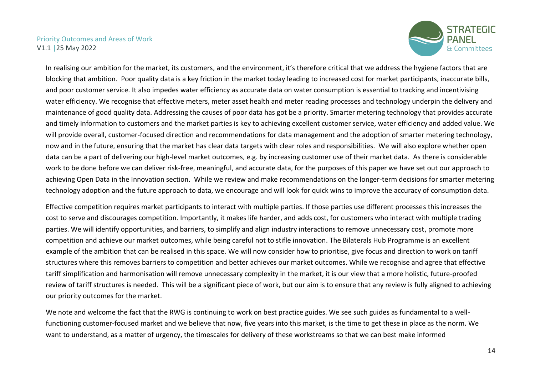

In realising our ambition for the market, its customers, and the environment, it's therefore critical that we address the hygiene factors that are blocking that ambition. Poor quality data is a key friction in the market today leading to increased cost for market participants, inaccurate bills, and poor customer service. It also impedes water efficiency as accurate data on water consumption is essential to tracking and incentivising water efficiency. We recognise that effective meters, meter asset health and meter reading processes and technology underpin the delivery and maintenance of good quality data. Addressing the causes of poor data has got be a priority. Smarter metering technology that provides accurate and timely information to customers and the market parties is key to achieving excellent customer service, water efficiency and added value. We will provide overall, customer-focused direction and recommendations for data management and the adoption of smarter metering technology, now and in the future, ensuring that the market has clear data targets with clear roles and responsibilities. We will also explore whether open data can be a part of delivering our high-level market outcomes, e.g. by increasing customer use of their market data. As there is considerable work to be done before we can deliver risk-free, meaningful, and accurate data, for the purposes of this paper we have set out our approach to achieving Open Data in the Innovation section. While we review and make recommendations on the longer-term decisions for smarter metering technology adoption and the future approach to data, we encourage and will look for quick wins to improve the accuracy of consumption data.

Effective competition requires market participants to interact with multiple parties. If those parties use different processes this increases the cost to serve and discourages competition. Importantly, it makes life harder, and adds cost, for customers who interact with multiple trading parties. We will identify opportunities, and barriers, to simplify and align industry interactions to remove unnecessary cost, promote more competition and achieve our market outcomes, while being careful not to stifle innovation. The Bilaterals Hub Programme is an excellent example of the ambition that can be realised in this space. We will now consider how to prioritise, give focus and direction to work on tariff structures where this removes barriers to competition and better achieves our market outcomes. While we recognise and agree that effective tariff simplification and harmonisation will remove unnecessary complexity in the market, it is our view that a more holistic, future-proofed review of tariff structures is needed. This will be a significant piece of work, but our aim is to ensure that any review is fully aligned to achieving our priority outcomes for the market.

We note and welcome the fact that the RWG is continuing to work on best practice guides. We see such guides as fundamental to a wellfunctioning customer-focused market and we believe that now, five years into this market, is the time to get these in place as the norm. We want to understand, as a matter of urgency, the timescales for delivery of these workstreams so that we can best make informed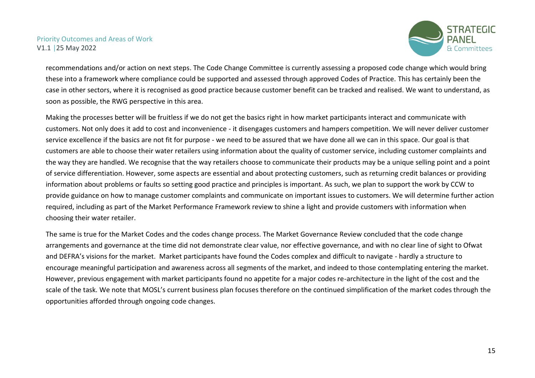

recommendations and/or action on next steps. The Code Change Committee is currently assessing a proposed code change which would bring these into a framework where compliance could be supported and assessed through approved Codes of Practice. This has certainly been the case in other sectors, where it is recognised as good practice because customer benefit can be tracked and realised. We want to understand, as soon as possible, the RWG perspective in this area.

Making the processes better will be fruitless if we do not get the basics right in how market participants interact and communicate with customers. Not only does it add to cost and inconvenience - it disengages customers and hampers competition. We will never deliver customer service excellence if the basics are not fit for purpose - we need to be assured that we have done all we can in this space. Our goal is that customers are able to choose their water retailers using information about the quality of customer service, including customer complaints and the way they are handled. We recognise that the way retailers choose to communicate their products may be a unique selling point and a point of service differentiation. However, some aspects are essential and about protecting customers, such as returning credit balances or providing information about problems or faults so setting good practice and principles is important. As such, we plan to support the work by CCW to provide guidance on how to manage customer complaints and communicate on important issues to customers. We will determine further action required, including as part of the Market Performance Framework review to shine a light and provide customers with information when choosing their water retailer.

The same is true for the Market Codes and the codes change process. The Market Governance Review concluded that the code change arrangements and governance at the time did not demonstrate clear value, nor effective governance, and with no clear line of sight to Ofwat and DEFRA's visions for the market. Market participants have found the Codes complex and difficult to navigate - hardly a structure to encourage meaningful participation and awareness across all segments of the market, and indeed to those contemplating entering the market. However, previous engagement with market participants found no appetite for a major codes re-architecture in the light of the cost and the scale of the task. We note that MOSL's current business plan focuses therefore on the continued simplification of the market codes through the opportunities afforded through ongoing code changes.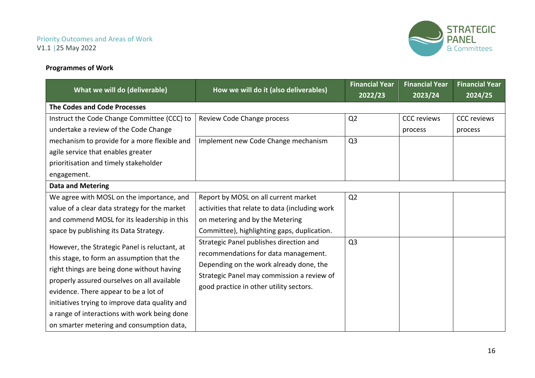#### **Programmes of Work**



| What we will do (deliverable)                                                                                                                                                                                                                                                                                                                                                    | How we will do it (also deliverables)                                                                                                                                                                               | <b>Financial Year</b><br>2022/23 | <b>Financial Year</b><br>2023/24 | <b>Financial Year</b><br>2024/25 |
|----------------------------------------------------------------------------------------------------------------------------------------------------------------------------------------------------------------------------------------------------------------------------------------------------------------------------------------------------------------------------------|---------------------------------------------------------------------------------------------------------------------------------------------------------------------------------------------------------------------|----------------------------------|----------------------------------|----------------------------------|
| <b>The Codes and Code Processes</b>                                                                                                                                                                                                                                                                                                                                              |                                                                                                                                                                                                                     |                                  |                                  |                                  |
| Instruct the Code Change Committee (CCC) to<br>undertake a review of the Code Change                                                                                                                                                                                                                                                                                             | Review Code Change process                                                                                                                                                                                          | Q2                               | <b>CCC</b> reviews<br>process    | <b>CCC</b> reviews<br>process    |
| mechanism to provide for a more flexible and<br>agile service that enables greater<br>prioritisation and timely stakeholder<br>engagement.                                                                                                                                                                                                                                       | Implement new Code Change mechanism                                                                                                                                                                                 | Q <sub>3</sub>                   |                                  |                                  |
| <b>Data and Metering</b>                                                                                                                                                                                                                                                                                                                                                         |                                                                                                                                                                                                                     |                                  |                                  |                                  |
| We agree with MOSL on the importance, and<br>value of a clear data strategy for the market<br>and commend MOSL for its leadership in this<br>space by publishing its Data Strategy.                                                                                                                                                                                              | Report by MOSL on all current market<br>activities that relate to data (including work<br>on metering and by the Metering<br>Committee), highlighting gaps, duplication.                                            | Q <sub>2</sub>                   |                                  |                                  |
| However, the Strategic Panel is reluctant, at<br>this stage, to form an assumption that the<br>right things are being done without having<br>properly assured ourselves on all available<br>evidence. There appear to be a lot of<br>initiatives trying to improve data quality and<br>a range of interactions with work being done<br>on smarter metering and consumption data, | Strategic Panel publishes direction and<br>recommendations for data management.<br>Depending on the work already done, the<br>Strategic Panel may commission a review of<br>good practice in other utility sectors. | Q <sub>3</sub>                   |                                  |                                  |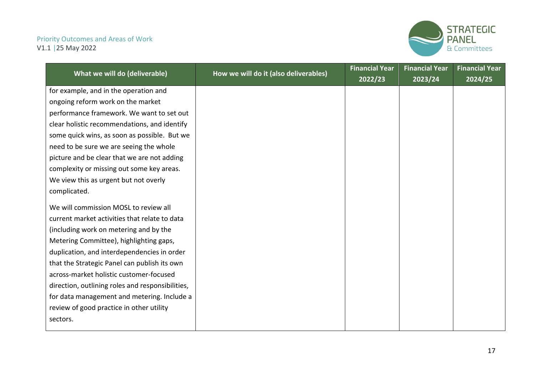

|                                                  |                                       | <b>Financial Year</b> | <b>Financial Year</b> | <b>Financial Year</b> |
|--------------------------------------------------|---------------------------------------|-----------------------|-----------------------|-----------------------|
| What we will do (deliverable)                    | How we will do it (also deliverables) | 2022/23               | 2023/24               | 2024/25               |
| for example, and in the operation and            |                                       |                       |                       |                       |
| ongoing reform work on the market                |                                       |                       |                       |                       |
| performance framework. We want to set out        |                                       |                       |                       |                       |
| clear holistic recommendations, and identify     |                                       |                       |                       |                       |
| some quick wins, as soon as possible. But we     |                                       |                       |                       |                       |
| need to be sure we are seeing the whole          |                                       |                       |                       |                       |
| picture and be clear that we are not adding      |                                       |                       |                       |                       |
| complexity or missing out some key areas.        |                                       |                       |                       |                       |
| We view this as urgent but not overly            |                                       |                       |                       |                       |
| complicated.                                     |                                       |                       |                       |                       |
| We will commission MOSL to review all            |                                       |                       |                       |                       |
| current market activities that relate to data    |                                       |                       |                       |                       |
| (including work on metering and by the           |                                       |                       |                       |                       |
| Metering Committee), highlighting gaps,          |                                       |                       |                       |                       |
| duplication, and interdependencies in order      |                                       |                       |                       |                       |
| that the Strategic Panel can publish its own     |                                       |                       |                       |                       |
| across-market holistic customer-focused          |                                       |                       |                       |                       |
| direction, outlining roles and responsibilities, |                                       |                       |                       |                       |
| for data management and metering. Include a      |                                       |                       |                       |                       |
| review of good practice in other utility         |                                       |                       |                       |                       |
| sectors.                                         |                                       |                       |                       |                       |
|                                                  |                                       |                       |                       |                       |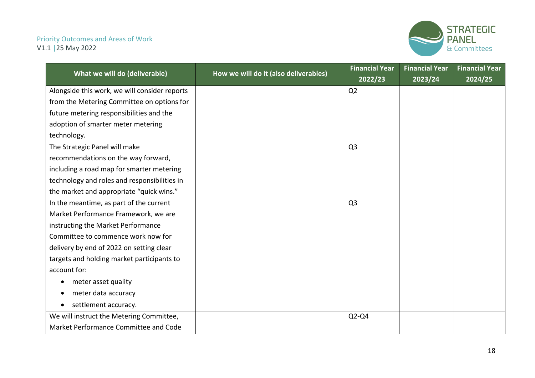

|                                               |                                       | <b>Financial Year</b> | <b>Financial Year</b> | <b>Financial Year</b> |
|-----------------------------------------------|---------------------------------------|-----------------------|-----------------------|-----------------------|
| What we will do (deliverable)                 | How we will do it (also deliverables) | 2022/23               | 2023/24               | 2024/25               |
| Alongside this work, we will consider reports |                                       | Q2                    |                       |                       |
| from the Metering Committee on options for    |                                       |                       |                       |                       |
| future metering responsibilities and the      |                                       |                       |                       |                       |
| adoption of smarter meter metering            |                                       |                       |                       |                       |
| technology.                                   |                                       |                       |                       |                       |
| The Strategic Panel will make                 |                                       | Q <sub>3</sub>        |                       |                       |
| recommendations on the way forward,           |                                       |                       |                       |                       |
| including a road map for smarter metering     |                                       |                       |                       |                       |
| technology and roles and responsibilities in  |                                       |                       |                       |                       |
| the market and appropriate "quick wins."      |                                       |                       |                       |                       |
| In the meantime, as part of the current       |                                       | Q <sub>3</sub>        |                       |                       |
| Market Performance Framework, we are          |                                       |                       |                       |                       |
| instructing the Market Performance            |                                       |                       |                       |                       |
| Committee to commence work now for            |                                       |                       |                       |                       |
| delivery by end of 2022 on setting clear      |                                       |                       |                       |                       |
| targets and holding market participants to    |                                       |                       |                       |                       |
| account for:                                  |                                       |                       |                       |                       |
| meter asset quality                           |                                       |                       |                       |                       |
| meter data accuracy                           |                                       |                       |                       |                       |
| settlement accuracy.                          |                                       |                       |                       |                       |
| We will instruct the Metering Committee,      |                                       | $Q2-Q4$               |                       |                       |
| Market Performance Committee and Code         |                                       |                       |                       |                       |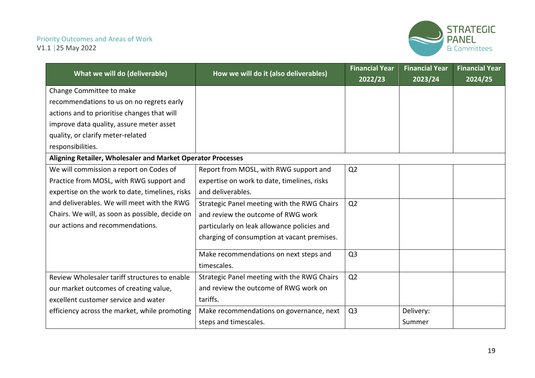

|                                                             |                                             | <b>Financial Year</b> | <b>Financial Year</b> | <b>Financial Year</b> |
|-------------------------------------------------------------|---------------------------------------------|-----------------------|-----------------------|-----------------------|
| What we will do (deliverable)                               | How we will do it (also deliverables)       | 2022/23               | 2023/24               | 2024/25               |
| Change Committee to make                                    |                                             |                       |                       |                       |
| recommendations to us on no regrets early                   |                                             |                       |                       |                       |
| actions and to prioritise changes that will                 |                                             |                       |                       |                       |
| improve data quality, assure meter asset                    |                                             |                       |                       |                       |
| quality, or clarify meter-related                           |                                             |                       |                       |                       |
| responsibilities.                                           |                                             |                       |                       |                       |
| Aligning Retailer, Wholesaler and Market Operator Processes |                                             |                       |                       |                       |
| We will commission a report on Codes of                     | Report from MOSL, with RWG support and      | Q <sub>2</sub>        |                       |                       |
| Practice from MOSL, with RWG support and                    | expertise on work to date, timelines, risks |                       |                       |                       |
| expertise on the work to date, timelines, risks             | and deliverables.                           |                       |                       |                       |
| and deliverables. We will meet with the RWG                 | Strategic Panel meeting with the RWG Chairs | Q <sub>2</sub>        |                       |                       |
| Chairs. We will, as soon as possible, decide on             | and review the outcome of RWG work          |                       |                       |                       |
| our actions and recommendations.                            | particularly on leak allowance policies and |                       |                       |                       |
|                                                             | charging of consumption at vacant premises. |                       |                       |                       |
|                                                             | Make recommendations on next steps and      | Q <sub>3</sub>        |                       |                       |
|                                                             | timescales.                                 |                       |                       |                       |
| Review Wholesaler tariff structures to enable               | Strategic Panel meeting with the RWG Chairs | Q2                    |                       |                       |
| our market outcomes of creating value,                      | and review the outcome of RWG work on       |                       |                       |                       |
| excellent customer service and water                        | tariffs.                                    |                       |                       |                       |
| efficiency across the market, while promoting               | Make recommendations on governance, next    | Q <sub>3</sub>        | Delivery:             |                       |
|                                                             | steps and timescales.                       |                       | Summer                |                       |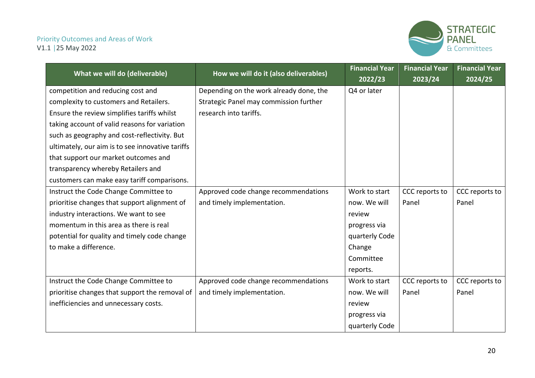

|                                                  |                                         | <b>Financial Year</b> | <b>Financial Year</b> | <b>Financial Year</b> |
|--------------------------------------------------|-----------------------------------------|-----------------------|-----------------------|-----------------------|
| What we will do (deliverable)                    | How we will do it (also deliverables)   | 2022/23               | 2023/24               | 2024/25               |
| competition and reducing cost and                | Depending on the work already done, the | Q4 or later           |                       |                       |
| complexity to customers and Retailers.           | Strategic Panel may commission further  |                       |                       |                       |
| Ensure the review simplifies tariffs whilst      | research into tariffs.                  |                       |                       |                       |
| taking account of valid reasons for variation    |                                         |                       |                       |                       |
| such as geography and cost-reflectivity. But     |                                         |                       |                       |                       |
| ultimately, our aim is to see innovative tariffs |                                         |                       |                       |                       |
| that support our market outcomes and             |                                         |                       |                       |                       |
| transparency whereby Retailers and               |                                         |                       |                       |                       |
| customers can make easy tariff comparisons.      |                                         |                       |                       |                       |
| Instruct the Code Change Committee to            | Approved code change recommendations    | Work to start         | CCC reports to        | CCC reports to        |
| prioritise changes that support alignment of     | and timely implementation.              | now. We will          | Panel                 | Panel                 |
| industry interactions. We want to see            |                                         | review                |                       |                       |
| momentum in this area as there is real           |                                         | progress via          |                       |                       |
| potential for quality and timely code change     |                                         | quarterly Code        |                       |                       |
| to make a difference.                            |                                         | Change                |                       |                       |
|                                                  |                                         | Committee             |                       |                       |
|                                                  |                                         | reports.              |                       |                       |
| Instruct the Code Change Committee to            | Approved code change recommendations    | Work to start         | CCC reports to        | CCC reports to        |
| prioritise changes that support the removal of   | and timely implementation.              | now. We will          | Panel                 | Panel                 |
| inefficiencies and unnecessary costs.            |                                         | review                |                       |                       |
|                                                  |                                         | progress via          |                       |                       |
|                                                  |                                         | quarterly Code        |                       |                       |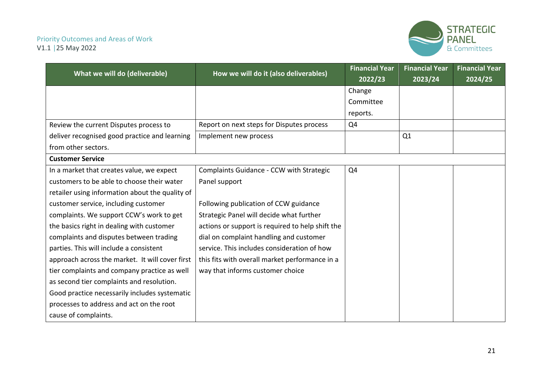

|                                                 |                                                  | <b>Financial Year</b> | <b>Financial Year</b> | <b>Financial Year</b> |
|-------------------------------------------------|--------------------------------------------------|-----------------------|-----------------------|-----------------------|
| What we will do (deliverable)                   | How we will do it (also deliverables)            | 2022/23               | 2023/24               | 2024/25               |
|                                                 |                                                  | Change                |                       |                       |
|                                                 |                                                  | Committee             |                       |                       |
|                                                 |                                                  | reports.              |                       |                       |
| Review the current Disputes process to          | Report on next steps for Disputes process        | Q4                    |                       |                       |
| deliver recognised good practice and learning   | Implement new process                            |                       | Q1                    |                       |
| from other sectors.                             |                                                  |                       |                       |                       |
| <b>Customer Service</b>                         |                                                  |                       |                       |                       |
| In a market that creates value, we expect       | Complaints Guidance - CCW with Strategic         | Q4                    |                       |                       |
| customers to be able to choose their water      | Panel support                                    |                       |                       |                       |
| retailer using information about the quality of |                                                  |                       |                       |                       |
| customer service, including customer            | Following publication of CCW guidance            |                       |                       |                       |
| complaints. We support CCW's work to get        | Strategic Panel will decide what further         |                       |                       |                       |
| the basics right in dealing with customer       | actions or support is required to help shift the |                       |                       |                       |
| complaints and disputes between trading         | dial on complaint handling and customer          |                       |                       |                       |
| parties. This will include a consistent         | service. This includes consideration of how      |                       |                       |                       |
| approach across the market. It will cover first | this fits with overall market performance in a   |                       |                       |                       |
| tier complaints and company practice as well    | way that informs customer choice                 |                       |                       |                       |
| as second tier complaints and resolution.       |                                                  |                       |                       |                       |
| Good practice necessarily includes systematic   |                                                  |                       |                       |                       |
| processes to address and act on the root        |                                                  |                       |                       |                       |
| cause of complaints.                            |                                                  |                       |                       |                       |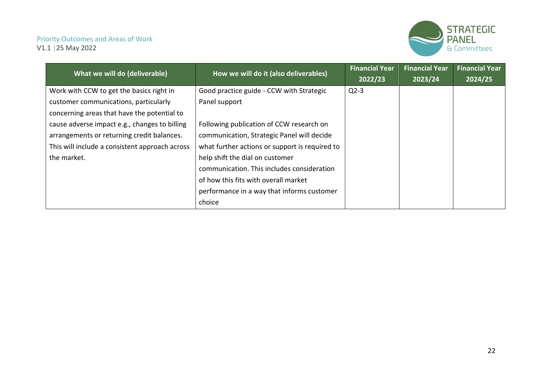

| What we will do (deliverable)                  | How we will do it (also deliverables)          | <b>Financial Year</b> | <b>Financial Year</b> | <b>Financial Year</b> |
|------------------------------------------------|------------------------------------------------|-----------------------|-----------------------|-----------------------|
|                                                |                                                | 2022/23               | 2023/24               | 2024/25               |
| Work with CCW to get the basics right in       | Good practice guide - CCW with Strategic       | $Q2-3$                |                       |                       |
| customer communications, particularly          | Panel support                                  |                       |                       |                       |
| concerning areas that have the potential to    |                                                |                       |                       |                       |
| cause adverse impact e.g., changes to billing  | Following publication of CCW research on       |                       |                       |                       |
| arrangements or returning credit balances.     | communication, Strategic Panel will decide     |                       |                       |                       |
| This will include a consistent approach across | what further actions or support is required to |                       |                       |                       |
| the market.                                    | help shift the dial on customer                |                       |                       |                       |
|                                                | communication. This includes consideration     |                       |                       |                       |
|                                                | of how this fits with overall market           |                       |                       |                       |
|                                                | performance in a way that informs customer     |                       |                       |                       |
|                                                | choice                                         |                       |                       |                       |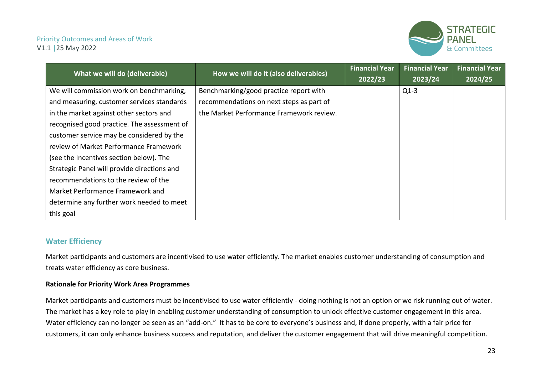

| What we will do (deliverable)               | How we will do it (also deliverables)    | <b>Financial Year</b> | <b>Financial Year</b> | <b>Financial Year</b> |
|---------------------------------------------|------------------------------------------|-----------------------|-----------------------|-----------------------|
|                                             |                                          | 2022/23               | 2023/24               | 2024/25               |
| We will commission work on benchmarking,    | Benchmarking/good practice report with   |                       | $Q1-3$                |                       |
| and measuring, customer services standards  | recommendations on next steps as part of |                       |                       |                       |
| in the market against other sectors and     | the Market Performance Framework review. |                       |                       |                       |
| recognised good practice. The assessment of |                                          |                       |                       |                       |
| customer service may be considered by the   |                                          |                       |                       |                       |
| review of Market Performance Framework      |                                          |                       |                       |                       |
| (see the Incentives section below). The     |                                          |                       |                       |                       |
| Strategic Panel will provide directions and |                                          |                       |                       |                       |
| recommendations to the review of the        |                                          |                       |                       |                       |
| Market Performance Framework and            |                                          |                       |                       |                       |
| determine any further work needed to meet   |                                          |                       |                       |                       |
| this goal                                   |                                          |                       |                       |                       |

#### **Water Efficiency**

Market participants and customers are incentivised to use water efficiently. The market enables customer understanding of consumption and treats water efficiency as core business.

#### **Rationale for Priority Work Area Programmes**

<span id="page-22-0"></span>Market participants and customers must be incentivised to use water efficiently - doing nothing is not an option or we risk running out of water. The market has a key role to play in enabling customer understanding of consumption to unlock effective customer engagement in this area. Water efficiency can no longer be seen as an "add-on." It has to be core to everyone's business and, if done properly, with a fair price for customers, it can only enhance business success and reputation, and deliver the customer engagement that will drive meaningful competition.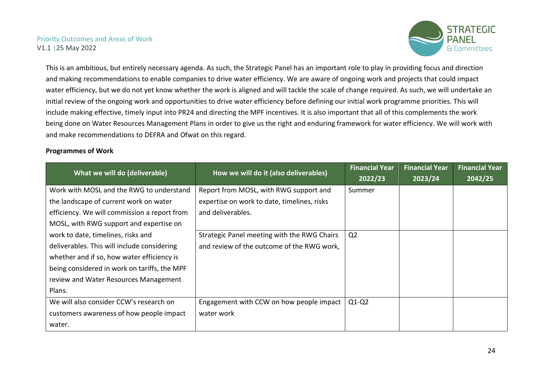

This is an ambitious, but entirely necessary agenda. As such, the Strategic Panel has an important role to play in providing focus and direction and making recommendations to enable companies to drive water efficiency. We are aware of ongoing work and projects that could impact water efficiency, but we do not yet know whether the work is aligned and will tackle the scale of change required. As such, we will undertake an initial review of the ongoing work and opportunities to drive water efficiency before defining our initial work programme priorities. This will include making effective, timely input into PR24 and directing the MPF incentives. It is also important that all of this complements the work being done on Water Resources Management Plans in order to give us the right and enduring framework for water efficiency. We will work with and make recommendations to DEFRA and Ofwat on this regard.

#### **Programmes of Work**

| What we will do (deliverable)                | How we will do it (also deliverables)       | <b>Financial Year</b><br>2022/23 | <b>Financial Year</b><br>2023/24 | <b>Financial Year</b><br>2042/25 |
|----------------------------------------------|---------------------------------------------|----------------------------------|----------------------------------|----------------------------------|
| Work with MOSL and the RWG to understand     | Report from MOSL, with RWG support and      | Summer                           |                                  |                                  |
| the landscape of current work on water       | expertise on work to date, timelines, risks |                                  |                                  |                                  |
| efficiency. We will commission a report from | and deliverables.                           |                                  |                                  |                                  |
| MOSL, with RWG support and expertise on      |                                             |                                  |                                  |                                  |
| work to date, timelines, risks and           | Strategic Panel meeting with the RWG Chairs | Q <sub>2</sub>                   |                                  |                                  |
| deliverables. This will include considering  | and review of the outcome of the RWG work,  |                                  |                                  |                                  |
| whether and if so, how water efficiency is   |                                             |                                  |                                  |                                  |
| being considered in work on tariffs, the MPF |                                             |                                  |                                  |                                  |
| review and Water Resources Management        |                                             |                                  |                                  |                                  |
| Plans.                                       |                                             |                                  |                                  |                                  |
| We will also consider CCW's research on      | Engagement with CCW on how people impact    | $Q1-Q2$                          |                                  |                                  |
| customers awareness of how people impact     | water work                                  |                                  |                                  |                                  |
| water.                                       |                                             |                                  |                                  |                                  |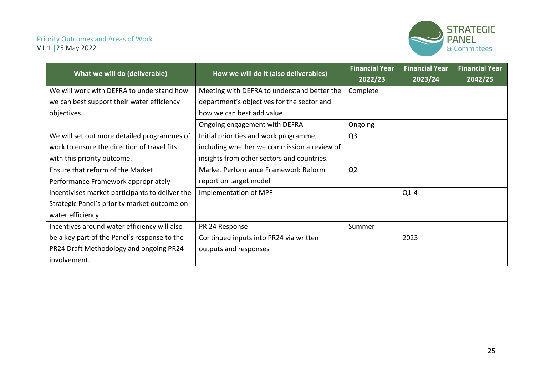

| What we will do (deliverable)                   | How we will do it (also deliverables)       | <b>Financial Year</b><br>2022/23 | <b>Financial Year</b><br>2023/24 | <b>Financial Year</b><br>2042/25 |
|-------------------------------------------------|---------------------------------------------|----------------------------------|----------------------------------|----------------------------------|
| We will work with DEFRA to understand how       | Meeting with DEFRA to understand better the | Complete                         |                                  |                                  |
| we can best support their water efficiency      | department's objectives for the sector and  |                                  |                                  |                                  |
| objectives.                                     | how we can best add value.                  |                                  |                                  |                                  |
|                                                 | Ongoing engagement with DEFRA               | Ongoing                          |                                  |                                  |
| We will set out more detailed programmes of     | Initial priorities and work programme,      | Q <sub>3</sub>                   |                                  |                                  |
| work to ensure the direction of travel fits     | including whether we commission a review of |                                  |                                  |                                  |
| with this priority outcome.                     | insights from other sectors and countries.  |                                  |                                  |                                  |
| Ensure that reform of the Market                | Market Performance Framework Reform         | Q <sub>2</sub>                   |                                  |                                  |
| Performance Framework appropriately             | report on target model                      |                                  |                                  |                                  |
| incentivises market participants to deliver the | Implementation of MPF                       |                                  | $Q1-4$                           |                                  |
| Strategic Panel's priority market outcome on    |                                             |                                  |                                  |                                  |
| water efficiency.                               |                                             |                                  |                                  |                                  |
| Incentives around water efficiency will also    | PR 24 Response                              | Summer                           |                                  |                                  |
| be a key part of the Panel's response to the    | Continued inputs into PR24 via written      |                                  | 2023                             |                                  |
| PR24 Draft Methodology and ongoing PR24         | outputs and responses                       |                                  |                                  |                                  |
| involvement.                                    |                                             |                                  |                                  |                                  |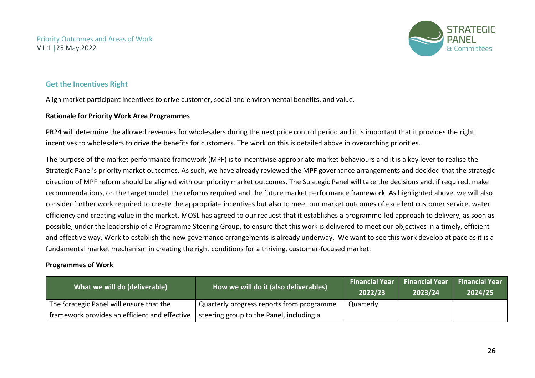

#### **Get the Incentives Right**

Align market participant incentives to drive customer, social and environmental benefits, and value.

#### **Rationale for Priority Work Area Programmes**

PR24 will determine the allowed revenues for wholesalers during the next price control period and it is important that it provides the right incentives to wholesalers to drive the benefits for customers. The work on this is detailed above in overarching priorities.

The purpose of the market performance framework (MPF) is to incentivise appropriate market behaviours and it is a key lever to realise the Strategic Panel's priority market outcomes. As such, we have already reviewed the MPF governance arrangements and decided that the strategic direction of MPF reform should be aligned with our priority market outcomes. The Strategic Panel will take the decisions and, if required, make recommendations, on the target model, the reforms required and the future market performance framework. As highlighted above, we will also consider further work required to create the appropriate incentives but also to meet our market outcomes of excellent customer service, water efficiency and creating value in the market. MOSL has agreed to our request that it establishes a programme-led approach to delivery, as soon as possible, under the leadership of a Programme Steering Group, to ensure that this work is delivered to meet our objectives in a timely, efficient and effective way. Work to establish the new governance arrangements is already underway. We want to see this work develop at pace as it is a fundamental market mechanism in creating the right conditions for a thriving, customer-focused market.

#### <span id="page-25-0"></span>**Programmes of Work**

| What we will do (deliverable)                 | How we will do it (also deliverables)     | <b>Financial Year</b><br>2022/23 | <b>Financial Year</b><br>$ 2023/24\rangle$ | <b>Financial Year</b><br>2024/25 |
|-----------------------------------------------|-------------------------------------------|----------------------------------|--------------------------------------------|----------------------------------|
| The Strategic Panel will ensure that the      | Quarterly progress reports from programme | Quarterly                        |                                            |                                  |
| framework provides an efficient and effective | steering group to the Panel, including a  |                                  |                                            |                                  |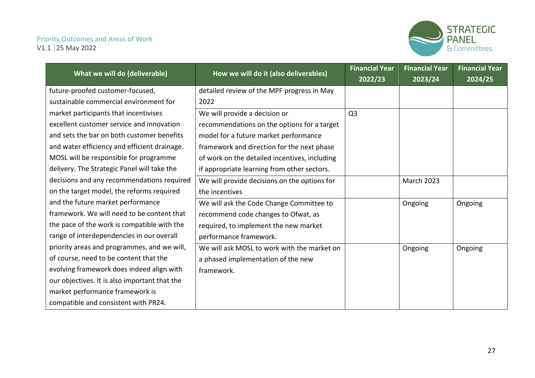

|                                               | How we will do it (also deliverables)         | <b>Financial Year</b> | <b>Financial Year</b> | <b>Financial Year</b> |
|-----------------------------------------------|-----------------------------------------------|-----------------------|-----------------------|-----------------------|
| What we will do (deliverable)                 |                                               | 2022/23               | 2023/24               | 2024/25               |
| future-proofed customer-focused,              | detailed review of the MPF progress in May    |                       |                       |                       |
| sustainable commercial environment for        | 2022                                          |                       |                       |                       |
| market participants that incentivises         | We will provide a decision or                 | Q <sub>3</sub>        |                       |                       |
| excellent customer service and innovation     | recommendations on the options for a target   |                       |                       |                       |
| and sets the bar on both customer benefits    | model for a future market performance         |                       |                       |                       |
| and water efficiency and efficient drainage.  | framework and direction for the next phase    |                       |                       |                       |
| MOSL will be responsible for programme        | of work on the detailed incentives, including |                       |                       |                       |
| delivery. The Strategic Panel will take the   | if appropriate learning from other sectors.   |                       |                       |                       |
| decisions and any recommendations required    | We will provide decisions on the options for  |                       | <b>March 2023</b>     |                       |
| on the target model, the reforms required     | the incentives                                |                       |                       |                       |
| and the future market performance             | We will ask the Code Change Committee to      |                       | Ongoing               | Ongoing               |
| framework. We will need to be content that    | recommend code changes to Ofwat, as           |                       |                       |                       |
| the pace of the work is compatible with the   | required, to implement the new market         |                       |                       |                       |
| range of interdependencies in our overall     | performance framework.                        |                       |                       |                       |
| priority areas and programmes, and we will,   | We will ask MOSL to work with the market on   |                       | Ongoing               | Ongoing               |
| of course, need to be content that the        | a phased implementation of the new            |                       |                       |                       |
| evolving framework does indeed align with     | framework.                                    |                       |                       |                       |
| our objectives. It is also important that the |                                               |                       |                       |                       |
| market performance framework is               |                                               |                       |                       |                       |
| compatible and consistent with PR24.          |                                               |                       |                       |                       |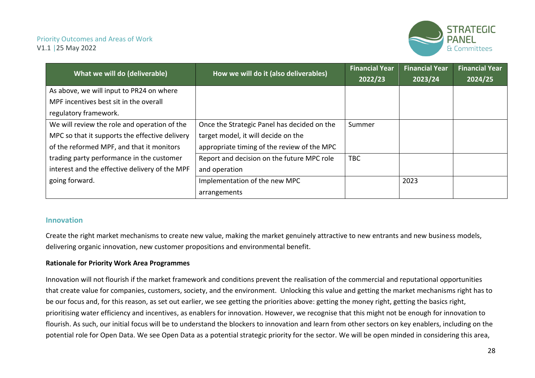

| What we will do (deliverable)                  | How we will do it (also deliverables)       | <b>Financial Year</b> | <b>Financial Year</b> | <b>Financial Year</b> |
|------------------------------------------------|---------------------------------------------|-----------------------|-----------------------|-----------------------|
|                                                |                                             | 2022/23               | 2023/24               | 2024/25               |
| As above, we will input to PR24 on where       |                                             |                       |                       |                       |
| MPF incentives best sit in the overall         |                                             |                       |                       |                       |
| regulatory framework.                          |                                             |                       |                       |                       |
| We will review the role and operation of the   | Once the Strategic Panel has decided on the | Summer                |                       |                       |
| MPC so that it supports the effective delivery | target model, it will decide on the         |                       |                       |                       |
| of the reformed MPF, and that it monitors      | appropriate timing of the review of the MPC |                       |                       |                       |
| trading party performance in the customer      | Report and decision on the future MPC role  | <b>TBC</b>            |                       |                       |
| interest and the effective delivery of the MPF | and operation                               |                       |                       |                       |
| going forward.                                 | Implementation of the new MPC               |                       | 2023                  |                       |
|                                                | arrangements                                |                       |                       |                       |

#### **Innovation**

Create the right market mechanisms to create new value, making the market genuinely attractive to new entrants and new business models, delivering organic innovation, new customer propositions and environmental benefit.

#### **Rationale for Priority Work Area Programmes**

<span id="page-27-0"></span>Innovation will not flourish if the market framework and conditions prevent the realisation of the commercial and reputational opportunities that create value for companies, customers, society, and the environment. Unlocking this value and getting the market mechanisms right has to be our focus and, for this reason, as set out earlier, we see getting the priorities above: getting the money right, getting the basics right, prioritising water efficiency and incentives, as enablers for innovation. However, we recognise that this might not be enough for innovation to flourish. As such, our initial focus will be to understand the blockers to innovation and learn from other sectors on key enablers, including on the potential role for Open Data. We see Open Data as a potential strategic priority for the sector. We will be open minded in considering this area,